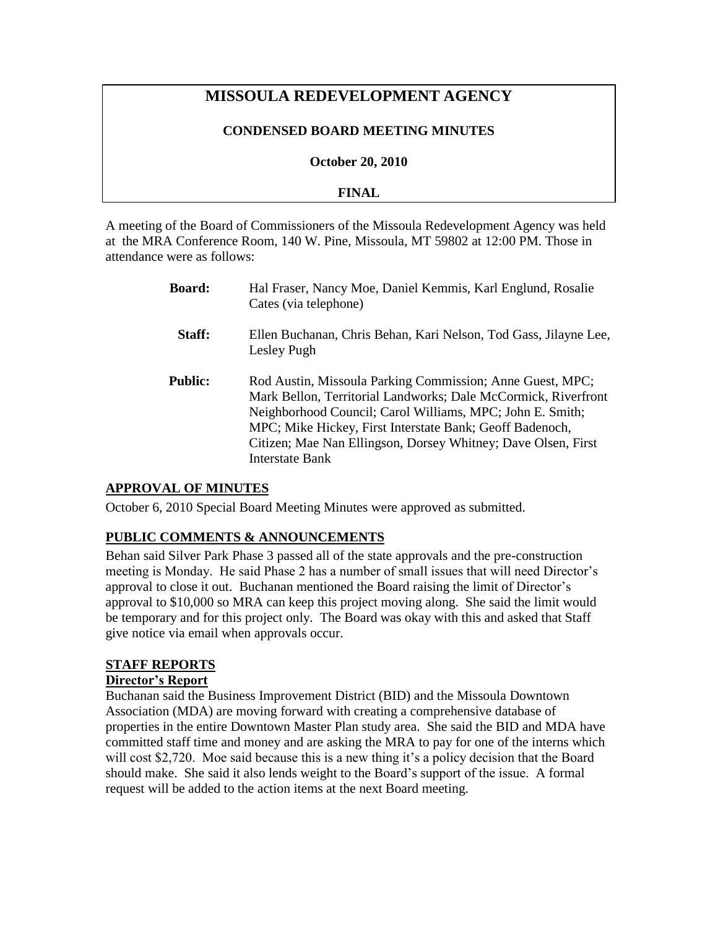# **MISSOULA REDEVELOPMENT AGENCY**

### **CONDENSED BOARD MEETING MINUTES**

**October 20, 2010**

### **FINAL**

A meeting of the Board of Commissioners of the Missoula Redevelopment Agency was held at the MRA Conference Room, 140 W. Pine, Missoula, MT 59802 at 12:00 PM. Those in attendance were as follows:

| <b>Board:</b>  | Hal Fraser, Nancy Moe, Daniel Kemmis, Karl Englund, Rosalie<br>Cates (via telephone)                                                                                                                                                                                                                                                     |
|----------------|------------------------------------------------------------------------------------------------------------------------------------------------------------------------------------------------------------------------------------------------------------------------------------------------------------------------------------------|
| Staff:         | Ellen Buchanan, Chris Behan, Kari Nelson, Tod Gass, Jilayne Lee,<br>Lesley Pugh                                                                                                                                                                                                                                                          |
| <b>Public:</b> | Rod Austin, Missoula Parking Commission; Anne Guest, MPC;<br>Mark Bellon, Territorial Landworks; Dale McCormick, Riverfront<br>Neighborhood Council; Carol Williams, MPC; John E. Smith;<br>MPC; Mike Hickey, First Interstate Bank; Geoff Badenoch,<br>Citizen; Mae Nan Ellingson, Dorsey Whitney; Dave Olsen, First<br>Interstate Bank |

# **APPROVAL OF MINUTES**

October 6, 2010 Special Board Meeting Minutes were approved as submitted.

# **PUBLIC COMMENTS & ANNOUNCEMENTS**

Behan said Silver Park Phase 3 passed all of the state approvals and the pre-construction meeting is Monday. He said Phase 2 has a number of small issues that will need Director's approval to close it out. Buchanan mentioned the Board raising the limit of Director's approval to \$10,000 so MRA can keep this project moving along. She said the limit would be temporary and for this project only. The Board was okay with this and asked that Staff give notice via email when approvals occur.

# **STAFF REPORTS**

### **Director's Report**

Buchanan said the Business Improvement District (BID) and the Missoula Downtown Association (MDA) are moving forward with creating a comprehensive database of properties in the entire Downtown Master Plan study area. She said the BID and MDA have committed staff time and money and are asking the MRA to pay for one of the interns which will cost \$2,720. Moe said because this is a new thing it's a policy decision that the Board should make. She said it also lends weight to the Board's support of the issue. A formal request will be added to the action items at the next Board meeting.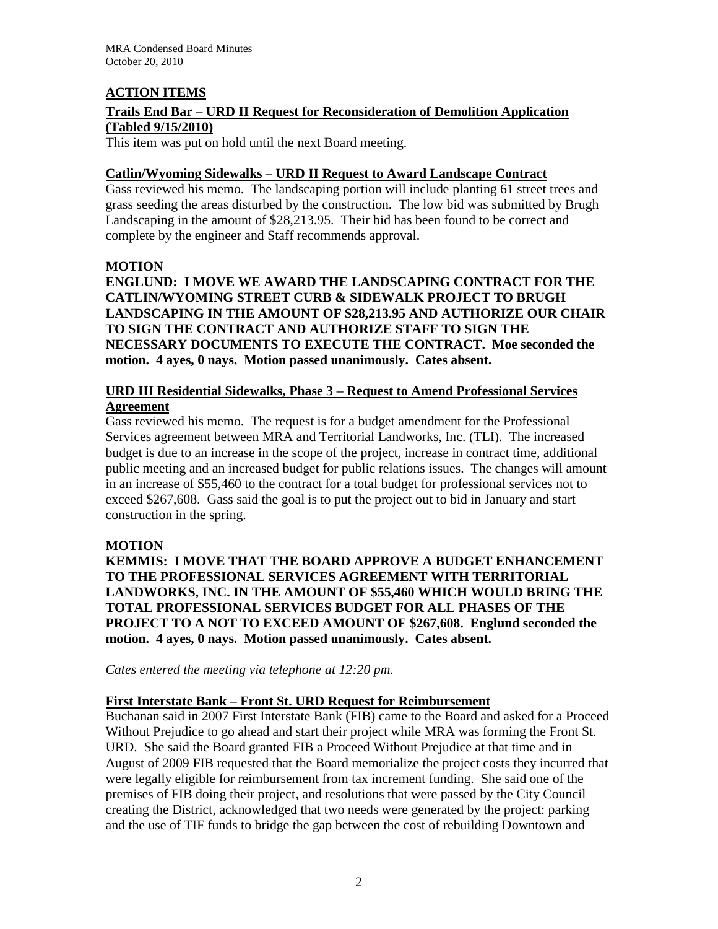# **ACTION ITEMS**

# **Trails End Bar – URD II Request for Reconsideration of Demolition Application (Tabled 9/15/2010)**

This item was put on hold until the next Board meeting.

### **Catlin/Wyoming Sidewalks – URD II Request to Award Landscape Contract**

Gass reviewed his memo. The landscaping portion will include planting 61 street trees and grass seeding the areas disturbed by the construction. The low bid was submitted by Brugh Landscaping in the amount of \$28,213.95. Their bid has been found to be correct and complete by the engineer and Staff recommends approval.

# **MOTION**

**ENGLUND: I MOVE WE AWARD THE LANDSCAPING CONTRACT FOR THE CATLIN/WYOMING STREET CURB & SIDEWALK PROJECT TO BRUGH LANDSCAPING IN THE AMOUNT OF \$28,213.95 AND AUTHORIZE OUR CHAIR TO SIGN THE CONTRACT AND AUTHORIZE STAFF TO SIGN THE NECESSARY DOCUMENTS TO EXECUTE THE CONTRACT. Moe seconded the motion. 4 ayes, 0 nays. Motion passed unanimously. Cates absent.** 

# **URD III Residential Sidewalks, Phase 3 – Request to Amend Professional Services Agreement**

Gass reviewed his memo. The request is for a budget amendment for the Professional Services agreement between MRA and Territorial Landworks, Inc. (TLI). The increased budget is due to an increase in the scope of the project, increase in contract time, additional public meeting and an increased budget for public relations issues. The changes will amount in an increase of \$55,460 to the contract for a total budget for professional services not to exceed \$267,608. Gass said the goal is to put the project out to bid in January and start construction in the spring.

# **MOTION**

**KEMMIS: I MOVE THAT THE BOARD APPROVE A BUDGET ENHANCEMENT TO THE PROFESSIONAL SERVICES AGREEMENT WITH TERRITORIAL LANDWORKS, INC. IN THE AMOUNT OF \$55,460 WHICH WOULD BRING THE TOTAL PROFESSIONAL SERVICES BUDGET FOR ALL PHASES OF THE PROJECT TO A NOT TO EXCEED AMOUNT OF \$267,608. Englund seconded the motion. 4 ayes, 0 nays. Motion passed unanimously. Cates absent.**

*Cates entered the meeting via telephone at 12:20 pm.*

# **First Interstate Bank – Front St. URD Request for Reimbursement**

Buchanan said in 2007 First Interstate Bank (FIB) came to the Board and asked for a Proceed Without Prejudice to go ahead and start their project while MRA was forming the Front St. URD. She said the Board granted FIB a Proceed Without Prejudice at that time and in August of 2009 FIB requested that the Board memorialize the project costs they incurred that were legally eligible for reimbursement from tax increment funding. She said one of the premises of FIB doing their project, and resolutions that were passed by the City Council creating the District, acknowledged that two needs were generated by the project: parking and the use of TIF funds to bridge the gap between the cost of rebuilding Downtown and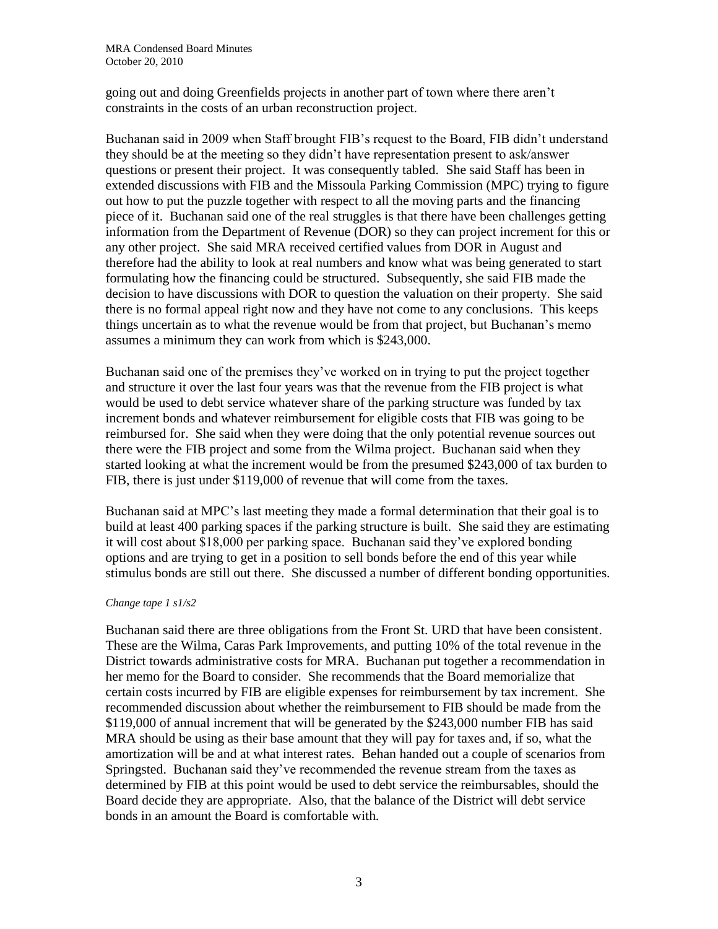going out and doing Greenfields projects in another part of town where there aren't constraints in the costs of an urban reconstruction project.

Buchanan said in 2009 when Staff brought FIB's request to the Board, FIB didn't understand they should be at the meeting so they didn't have representation present to ask/answer questions or present their project. It was consequently tabled. She said Staff has been in extended discussions with FIB and the Missoula Parking Commission (MPC) trying to figure out how to put the puzzle together with respect to all the moving parts and the financing piece of it. Buchanan said one of the real struggles is that there have been challenges getting information from the Department of Revenue (DOR) so they can project increment for this or any other project. She said MRA received certified values from DOR in August and therefore had the ability to look at real numbers and know what was being generated to start formulating how the financing could be structured. Subsequently, she said FIB made the decision to have discussions with DOR to question the valuation on their property. She said there is no formal appeal right now and they have not come to any conclusions. This keeps things uncertain as to what the revenue would be from that project, but Buchanan's memo assumes a minimum they can work from which is \$243,000.

Buchanan said one of the premises they've worked on in trying to put the project together and structure it over the last four years was that the revenue from the FIB project is what would be used to debt service whatever share of the parking structure was funded by tax increment bonds and whatever reimbursement for eligible costs that FIB was going to be reimbursed for. She said when they were doing that the only potential revenue sources out there were the FIB project and some from the Wilma project. Buchanan said when they started looking at what the increment would be from the presumed \$243,000 of tax burden to FIB, there is just under \$119,000 of revenue that will come from the taxes.

Buchanan said at MPC's last meeting they made a formal determination that their goal is to build at least 400 parking spaces if the parking structure is built. She said they are estimating it will cost about \$18,000 per parking space. Buchanan said they've explored bonding options and are trying to get in a position to sell bonds before the end of this year while stimulus bonds are still out there. She discussed a number of different bonding opportunities.

#### *Change tape 1 s1/s2*

Buchanan said there are three obligations from the Front St. URD that have been consistent. These are the Wilma, Caras Park Improvements, and putting 10% of the total revenue in the District towards administrative costs for MRA. Buchanan put together a recommendation in her memo for the Board to consider. She recommends that the Board memorialize that certain costs incurred by FIB are eligible expenses for reimbursement by tax increment. She recommended discussion about whether the reimbursement to FIB should be made from the \$119,000 of annual increment that will be generated by the \$243,000 number FIB has said MRA should be using as their base amount that they will pay for taxes and, if so, what the amortization will be and at what interest rates. Behan handed out a couple of scenarios from Springsted. Buchanan said they've recommended the revenue stream from the taxes as determined by FIB at this point would be used to debt service the reimbursables, should the Board decide they are appropriate. Also, that the balance of the District will debt service bonds in an amount the Board is comfortable with.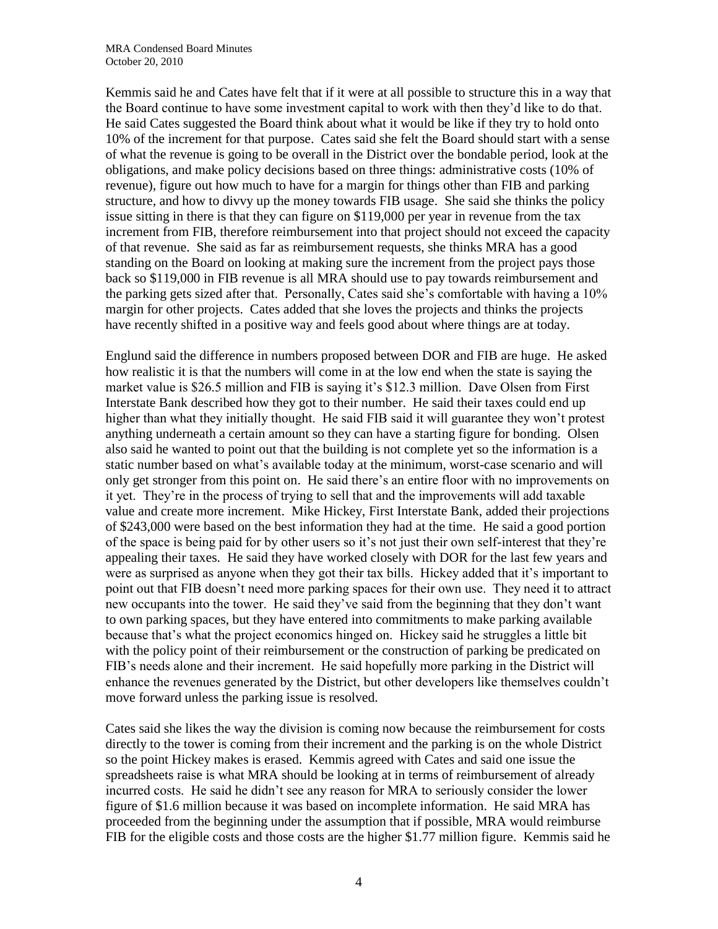Kemmis said he and Cates have felt that if it were at all possible to structure this in a way that the Board continue to have some investment capital to work with then they'd like to do that. He said Cates suggested the Board think about what it would be like if they try to hold onto 10% of the increment for that purpose. Cates said she felt the Board should start with a sense of what the revenue is going to be overall in the District over the bondable period, look at the obligations, and make policy decisions based on three things: administrative costs (10% of revenue), figure out how much to have for a margin for things other than FIB and parking structure, and how to divvy up the money towards FIB usage. She said she thinks the policy issue sitting in there is that they can figure on \$119,000 per year in revenue from the tax increment from FIB, therefore reimbursement into that project should not exceed the capacity of that revenue. She said as far as reimbursement requests, she thinks MRA has a good standing on the Board on looking at making sure the increment from the project pays those back so \$119,000 in FIB revenue is all MRA should use to pay towards reimbursement and the parking gets sized after that. Personally, Cates said she's comfortable with having a 10% margin for other projects. Cates added that she loves the projects and thinks the projects have recently shifted in a positive way and feels good about where things are at today.

Englund said the difference in numbers proposed between DOR and FIB are huge. He asked how realistic it is that the numbers will come in at the low end when the state is saying the market value is \$26.5 million and FIB is saying it's \$12.3 million. Dave Olsen from First Interstate Bank described how they got to their number. He said their taxes could end up higher than what they initially thought. He said FIB said it will guarantee they won't protest anything underneath a certain amount so they can have a starting figure for bonding. Olsen also said he wanted to point out that the building is not complete yet so the information is a static number based on what's available today at the minimum, worst-case scenario and will only get stronger from this point on. He said there's an entire floor with no improvements on it yet. They're in the process of trying to sell that and the improvements will add taxable value and create more increment. Mike Hickey, First Interstate Bank, added their projections of \$243,000 were based on the best information they had at the time. He said a good portion of the space is being paid for by other users so it's not just their own self-interest that they're appealing their taxes. He said they have worked closely with DOR for the last few years and were as surprised as anyone when they got their tax bills. Hickey added that it's important to point out that FIB doesn't need more parking spaces for their own use. They need it to attract new occupants into the tower. He said they've said from the beginning that they don't want to own parking spaces, but they have entered into commitments to make parking available because that's what the project economics hinged on. Hickey said he struggles a little bit with the policy point of their reimbursement or the construction of parking be predicated on FIB's needs alone and their increment. He said hopefully more parking in the District will enhance the revenues generated by the District, but other developers like themselves couldn't move forward unless the parking issue is resolved.

Cates said she likes the way the division is coming now because the reimbursement for costs directly to the tower is coming from their increment and the parking is on the whole District so the point Hickey makes is erased. Kemmis agreed with Cates and said one issue the spreadsheets raise is what MRA should be looking at in terms of reimbursement of already incurred costs. He said he didn't see any reason for MRA to seriously consider the lower figure of \$1.6 million because it was based on incomplete information. He said MRA has proceeded from the beginning under the assumption that if possible, MRA would reimburse FIB for the eligible costs and those costs are the higher \$1.77 million figure. Kemmis said he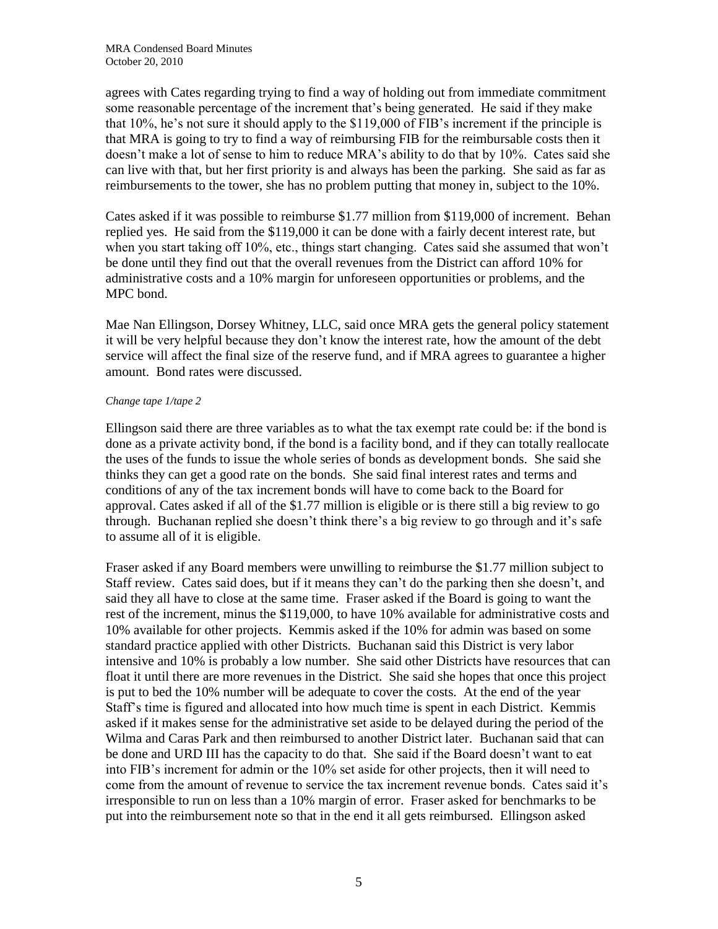agrees with Cates regarding trying to find a way of holding out from immediate commitment some reasonable percentage of the increment that's being generated. He said if they make that 10%, he's not sure it should apply to the \$119,000 of FIB's increment if the principle is that MRA is going to try to find a way of reimbursing FIB for the reimbursable costs then it doesn't make a lot of sense to him to reduce MRA's ability to do that by 10%. Cates said she can live with that, but her first priority is and always has been the parking. She said as far as reimbursements to the tower, she has no problem putting that money in, subject to the 10%.

Cates asked if it was possible to reimburse \$1.77 million from \$119,000 of increment. Behan replied yes. He said from the \$119,000 it can be done with a fairly decent interest rate, but when you start taking off 10%, etc., things start changing. Cates said she assumed that won't be done until they find out that the overall revenues from the District can afford 10% for administrative costs and a 10% margin for unforeseen opportunities or problems, and the MPC bond.

Mae Nan Ellingson, Dorsey Whitney, LLC, said once MRA gets the general policy statement it will be very helpful because they don't know the interest rate, how the amount of the debt service will affect the final size of the reserve fund, and if MRA agrees to guarantee a higher amount. Bond rates were discussed.

#### *Change tape 1/tape 2*

Ellingson said there are three variables as to what the tax exempt rate could be: if the bond is done as a private activity bond, if the bond is a facility bond, and if they can totally reallocate the uses of the funds to issue the whole series of bonds as development bonds. She said she thinks they can get a good rate on the bonds. She said final interest rates and terms and conditions of any of the tax increment bonds will have to come back to the Board for approval. Cates asked if all of the \$1.77 million is eligible or is there still a big review to go through. Buchanan replied she doesn't think there's a big review to go through and it's safe to assume all of it is eligible.

Fraser asked if any Board members were unwilling to reimburse the \$1.77 million subject to Staff review. Cates said does, but if it means they can't do the parking then she doesn't, and said they all have to close at the same time. Fraser asked if the Board is going to want the rest of the increment, minus the \$119,000, to have 10% available for administrative costs and 10% available for other projects. Kemmis asked if the 10% for admin was based on some standard practice applied with other Districts. Buchanan said this District is very labor intensive and 10% is probably a low number. She said other Districts have resources that can float it until there are more revenues in the District. She said she hopes that once this project is put to bed the 10% number will be adequate to cover the costs. At the end of the year Staff's time is figured and allocated into how much time is spent in each District. Kemmis asked if it makes sense for the administrative set aside to be delayed during the period of the Wilma and Caras Park and then reimbursed to another District later. Buchanan said that can be done and URD III has the capacity to do that. She said if the Board doesn't want to eat into FIB's increment for admin or the 10% set aside for other projects, then it will need to come from the amount of revenue to service the tax increment revenue bonds. Cates said it's irresponsible to run on less than a 10% margin of error. Fraser asked for benchmarks to be put into the reimbursement note so that in the end it all gets reimbursed. Ellingson asked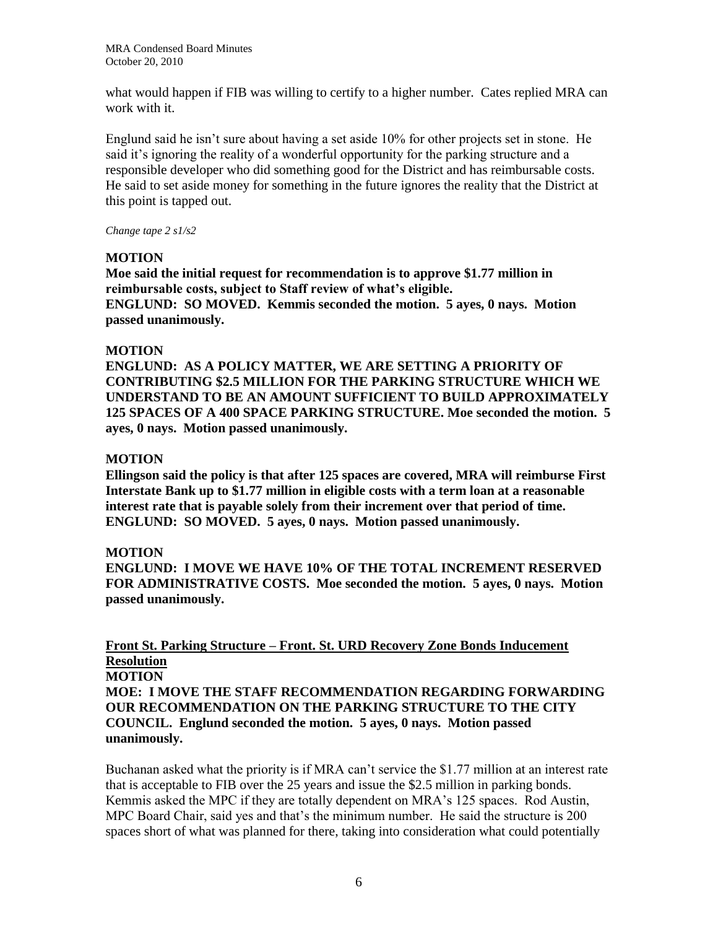what would happen if FIB was willing to certify to a higher number. Cates replied MRA can work with it.

Englund said he isn't sure about having a set aside 10% for other projects set in stone. He said it's ignoring the reality of a wonderful opportunity for the parking structure and a responsible developer who did something good for the District and has reimbursable costs. He said to set aside money for something in the future ignores the reality that the District at this point is tapped out.

### *Change tape 2 s1/s2*

### **MOTION**

**Moe said the initial request for recommendation is to approve \$1.77 million in reimbursable costs, subject to Staff review of what's eligible. ENGLUND: SO MOVED. Kemmis seconded the motion. 5 ayes, 0 nays. Motion passed unanimously.**

### **MOTION**

**ENGLUND: AS A POLICY MATTER, WE ARE SETTING A PRIORITY OF CONTRIBUTING \$2.5 MILLION FOR THE PARKING STRUCTURE WHICH WE UNDERSTAND TO BE AN AMOUNT SUFFICIENT TO BUILD APPROXIMATELY 125 SPACES OF A 400 SPACE PARKING STRUCTURE. Moe seconded the motion. 5 ayes, 0 nays. Motion passed unanimously.**

### **MOTION**

**Ellingson said the policy is that after 125 spaces are covered, MRA will reimburse First Interstate Bank up to \$1.77 million in eligible costs with a term loan at a reasonable interest rate that is payable solely from their increment over that period of time. ENGLUND: SO MOVED. 5 ayes, 0 nays. Motion passed unanimously.** 

### **MOTION**

**ENGLUND: I MOVE WE HAVE 10% OF THE TOTAL INCREMENT RESERVED FOR ADMINISTRATIVE COSTS. Moe seconded the motion. 5 ayes, 0 nays. Motion passed unanimously.**

# **Front St. Parking Structure – Front. St. URD Recovery Zone Bonds Inducement Resolution**

# **MOTION**

**MOE: I MOVE THE STAFF RECOMMENDATION REGARDING FORWARDING OUR RECOMMENDATION ON THE PARKING STRUCTURE TO THE CITY COUNCIL. Englund seconded the motion. 5 ayes, 0 nays. Motion passed unanimously.** 

Buchanan asked what the priority is if MRA can't service the \$1.77 million at an interest rate that is acceptable to FIB over the 25 years and issue the \$2.5 million in parking bonds. Kemmis asked the MPC if they are totally dependent on MRA's 125 spaces. Rod Austin, MPC Board Chair, said yes and that's the minimum number. He said the structure is 200 spaces short of what was planned for there, taking into consideration what could potentially